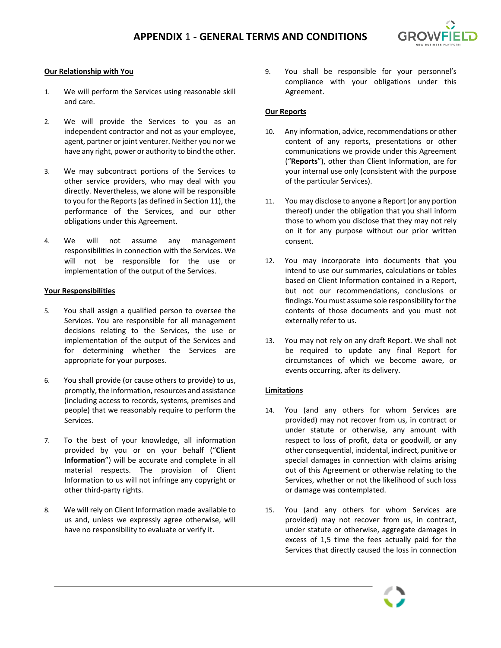

### **Our Relationship with You**

- 1. We will perform the Services using reasonable skill and care.
- 2. We will provide the Services to you as an independent contractor and not as your employee, agent, partner or joint venturer. Neither you nor we have any right, power or authority to bind the other.
- 3. We may subcontract portions of the Services to other service providers, who may deal with you directly. Nevertheless, we alone will be responsible to you for the Reports(as defined in Section 11), the performance of the Services, and our other obligations under this Agreement.
- 4. We will not assume any management responsibilities in connection with the Services. We will not be responsible for the use or implementation of the output of the Services.

#### **Your Responsibilities**

- 5. You shall assign a qualified person to oversee the Services. You are responsible for all management decisions relating to the Services, the use or implementation of the output of the Services and for determining whether the Services are appropriate for your purposes.
- 6. You shall provide (or cause others to provide) to us, promptly, the information, resources and assistance (including access to records, systems, premises and people) that we reasonably require to perform the Services.
- 7. To the best of your knowledge, all information provided by you or on your behalf ("**Client Information**") will be accurate and complete in all material respects. The provision of Client Information to us will not infringe any copyright or other third-party rights.
- 8. We will rely on Client Information made available to us and, unless we expressly agree otherwise, will have no responsibility to evaluate or verify it.

9. You shall be responsible for your personnel's compliance with your obligations under this Agreement.

### **Our Reports**

- 10. Any information, advice, recommendations or other content of any reports, presentations or other communications we provide under this Agreement ("**Reports**"), other than Client Information, are for your internal use only (consistent with the purpose of the particular Services).
- 11. You may disclose to anyone a Report (or any portion thereof) under the obligation that you shall inform those to whom you disclose that they may not rely on it for any purpose without our prior written consent.
- 12. You may incorporate into documents that you intend to use our summaries, calculations or tables based on Client Information contained in a Report, but not our recommendations, conclusions or findings. You must assume sole responsibility for the contents of those documents and you must not externally refer to us.
- 13. You may not rely on any draft Report. We shall not be required to update any final Report for circumstances of which we become aware, or events occurring, after its delivery.

#### **Limitations**

- 14. You (and any others for whom Services are provided) may not recover from us, in contract or under statute or otherwise, any amount with respect to loss of profit, data or goodwill, or any other consequential, incidental, indirect, punitive or special damages in connection with claims arising out of this Agreement or otherwise relating to the Services, whether or not the likelihood of such loss or damage was contemplated.
- 15. You (and any others for whom Services are provided) may not recover from us, in contract, under statute or otherwise, aggregate damages in excess of 1,5 time the fees actually paid for the Services that directly caused the loss in connection

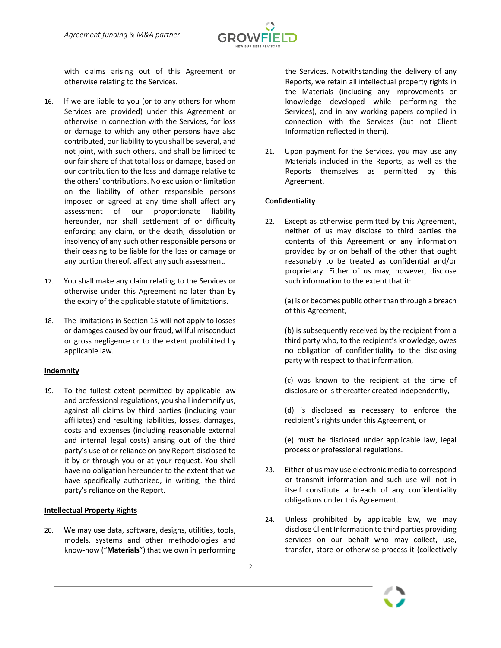

with claims arising out of this Agreement or otherwise relating to the Services.

- 16. If we are liable to you (or to any others for whom Services are provided) under this Agreement or otherwise in connection with the Services, for loss or damage to which any other persons have also contributed, our liability to you shall be several, and not joint, with such others, and shall be limited to our fair share of that total loss or damage, based on our contribution to the loss and damage relative to the others' contributions. No exclusion or limitation on the liability of other responsible persons imposed or agreed at any time shall affect any assessment of our proportionate liability hereunder, nor shall settlement of or difficulty enforcing any claim, or the death, dissolution or insolvency of any such other responsible persons or their ceasing to be liable for the loss or damage or any portion thereof, affect any such assessment.
- 17. You shall make any claim relating to the Services or otherwise under this Agreement no later than by the expiry of the applicable statute of limitations.
- 18. The limitations in Section 15 will not apply to losses or damages caused by our fraud, willful misconduct or gross negligence or to the extent prohibited by applicable law.

## **Indemnity**

19. To the fullest extent permitted by applicable law and professional regulations, you shall indemnify us, against all claims by third parties (including your affiliates) and resulting liabilities, losses, damages, costs and expenses (including reasonable external and internal legal costs) arising out of the third party's use of or reliance on any Report disclosed to it by or through you or at your request. You shall have no obligation hereunder to the extent that we have specifically authorized, in writing, the third party's reliance on the Report.

#### **Intellectual Property Rights**

20. We may use data, software, designs, utilities, tools, models, systems and other methodologies and know-how ("**Materials**") that we own in performing the Services. Notwithstanding the delivery of any Reports, we retain all intellectual property rights in the Materials (including any improvements or knowledge developed while performing the Services), and in any working papers compiled in connection with the Services (but not Client Information reflected in them).

21. Upon payment for the Services, you may use any Materials included in the Reports, as well as the Reports themselves as permitted by this Agreement.

## **Confidentiality**

22. Except as otherwise permitted by this Agreement, neither of us may disclose to third parties the contents of this Agreement or any information provided by or on behalf of the other that ought reasonably to be treated as confidential and/or proprietary. Either of us may, however, disclose such information to the extent that it:

(a) is or becomes public other than through a breach of this Agreement,

(b) is subsequently received by the recipient from a third party who, to the recipient's knowledge, owes no obligation of confidentiality to the disclosing party with respect to that information,

(c) was known to the recipient at the time of disclosure or is thereafter created independently,

(d) is disclosed as necessary to enforce the recipient's rights under this Agreement, or

(e) must be disclosed under applicable law, legal process or professional regulations.

- 23. Either of us may use electronic media to correspond or transmit information and such use will not in itself constitute a breach of any confidentiality obligations under this Agreement.
- 24. Unless prohibited by applicable law, we may disclose Client Information to third parties providing services on our behalf who may collect, use, transfer, store or otherwise process it (collectively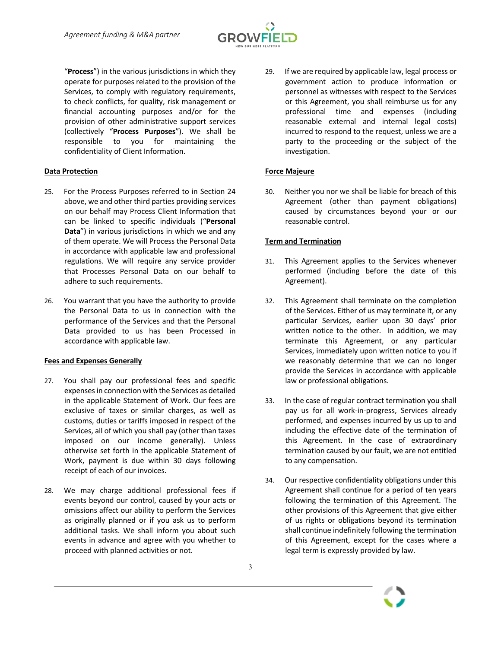

"**Process**") in the various jurisdictions in which they operate for purposes related to the provision of the Services, to comply with regulatory requirements, to check conflicts, for quality, risk management or financial accounting purposes and/or for the provision of other administrative support services (collectively "**Process Purposes**"). We shall be responsible to you for maintaining the confidentiality of Client Information.

## **Data Protection**

- 25. For the Process Purposes referred to in Section 24 above, we and other third parties providing services on our behalf may Process Client Information that can be linked to specific individuals ("**Personal Data**") in various jurisdictions in which we and any of them operate. We will Process the Personal Data in accordance with applicable law and professional regulations. We will require any service provider that Processes Personal Data on our behalf to adhere to such requirements.
- 26. You warrant that you have the authority to provide the Personal Data to us in connection with the performance of the Services and that the Personal Data provided to us has been Processed in accordance with applicable law.

## **Fees and Expenses Generally**

- 27. You shall pay our professional fees and specific expenses in connection with the Services as detailed in the applicable Statement of Work. Our fees are exclusive of taxes or similar charges, as well as customs, duties or tariffs imposed in respect of the Services, all of which you shall pay (other than taxes imposed on our income generally). Unless otherwise set forth in the applicable Statement of Work, payment is due within 30 days following receipt of each of our invoices.
- 28. We may charge additional professional fees if events beyond our control, caused by your acts or omissions affect our ability to perform the Services as originally planned or if you ask us to perform additional tasks. We shall inform you about such events in advance and agree with you whether to proceed with planned activities or not.

29. If we are required by applicable law, legal process or government action to produce information or personnel as witnesses with respect to the Services or this Agreement, you shall reimburse us for any professional time and expenses (including reasonable external and internal legal costs) incurred to respond to the request, unless we are a party to the proceeding or the subject of the investigation.

## **Force Majeure**

30. Neither you nor we shall be liable for breach of this Agreement (other than payment obligations) caused by circumstances beyond your or our reasonable control.

# **Term and Termination**

- 31. This Agreement applies to the Services whenever performed (including before the date of this Agreement).
- 32. This Agreement shall terminate on the completion of the Services. Either of us may terminate it, or any particular Services, earlier upon 30 days' prior written notice to the other. In addition, we may terminate this Agreement, or any particular Services, immediately upon written notice to you if we reasonably determine that we can no longer provide the Services in accordance with applicable law or professional obligations.
- 33. In the case of regular contract termination you shall pay us for all work-in-progress, Services already performed, and expenses incurred by us up to and including the effective date of the termination of this Agreement. In the case of extraordinary termination caused by our fault, we are not entitled to any compensation.
- 34. Our respective confidentiality obligations under this Agreement shall continue for a period of ten years following the termination of this Agreement. The other provisions of this Agreement that give either of us rights or obligations beyond its termination shall continue indefinitely following the termination of this Agreement, except for the cases where a legal term is expressly provided by law.